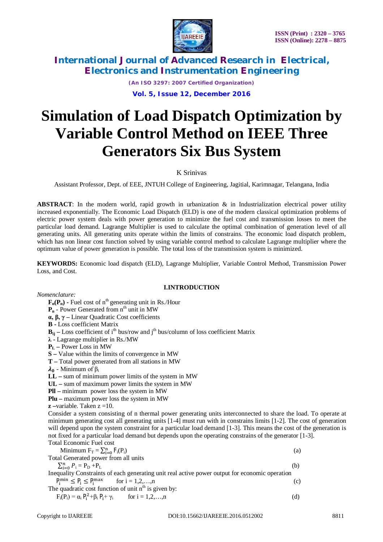

*(An ISO 3297: 2007 Certified Organization)* **Vol. 5, Issue 12, December 2016**

# **Simulation of Load Dispatch Optimization by Variable Control Method on IEEE Three Generators Six Bus System**

## K Srinivas

Assistant Professor, Dept. of EEE, JNTUH College of Engineering, Jagitial, Karimnagar, Telangana, India

**ABSTRACT**: In the modern world, rapid growth in urbanization & in Industrialization electrical power utility increased exponentially. The Economic Load Dispatch (ELD) is one of the modern classical optimization problems of electric power system deals with power generation to minimize the fuel cost and transmission losses to meet the particular load demand. Lagrange Multiplier is used to calculate the optimal combination of generation level of all generating units. All generating units operate within the limits of constrains. The economic load dispatch problem, which has non linear cost function solved by using variable control method to calculate Lagrange multiplier where the optimum value of power generation is possible. The total loss of the transmission system is minimized.

**KEYWORDS:** Economic load dispatch (ELD), Lagrange Multiplier, Variable Control Method, Transmission Power Loss, and Cost.

## **I.INTRODUCTION**

*Nomenclature:*

 $\mathbf{F}_n(\mathbf{P}_n)$  - Fuel cost of  $n^{th}$  generating unit in Rs./Hour

**P<sub>n</sub>** - Power Generated from n<sup>th</sup> unit in MW

**α, β, γ –** Linear Quadratic Cost coefficients

**B -** Loss coefficient Matrix

 $B_{ii}$  – Loss coefficient of i<sup>th</sup> bus/row and j<sup>th</sup> bus/column of loss coefficient Matrix

**λ -** Lagrange multiplier in Rs./MW

**P<sup>L</sup> –** Power Loss in MW

**S –** Value within the limits of convergence in MW

**T –** Total power generated from all stations in MW

 $\lambda_0$  - Minimum of  $\beta_i$ 

**LL –** sum of minimum power limits of the system in MW

**UL –** sum of maximum power limits the system in MW

**Pll –** minimum power loss the system in MW

**Plu –** maximum power loss the system in MW

**z –**variable. Taken z =10.

Consider a system consisting of n thermal power generating units interconnected to share the load. To operate at minimum generating cost all generating units [1-4] must run with in constrains limits [1-2]. The cost of generation will depend upon the system constraint for a particular load demand [1-3]. This means the cost of the generation is not fixed for a particular load demand but depends upon the operating constrains of the generator [1-3]. Total Economic Fuel cost

| Minimum $F_T = \sum_{i=0}^n F_i(P_i)$                                                          | (a) |  |  |  |
|------------------------------------------------------------------------------------------------|-----|--|--|--|
| Total Generated power from all units                                                           |     |  |  |  |
| $\sum_{i=0}^{n} P_i = P_D + P_L$                                                               | (b) |  |  |  |
| Inequality Constraints of each generating unit real active power output for economic operation |     |  |  |  |
| $P_i^{\min} \le P_i \le P_i^{\max}$ for $i = 1, 2, , n$                                        | (c) |  |  |  |
| The quadratic cost function of unit n <sup>th</sup> is given by:                               |     |  |  |  |
| $F_i(P_i) = \alpha_i P_i^2 + \beta_i P_i + \gamma_i$ for $i = 1, 2, , n$                       | (d) |  |  |  |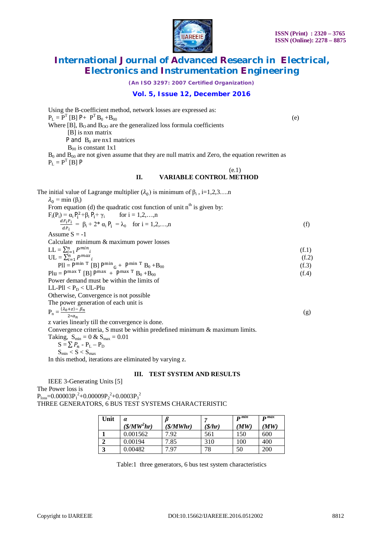

*(An ISO 3297: 2007 Certified Organization)*

### **Vol. 5, Issue 12, December 2016**

| Using the B-coefficient method, network losses are expressed as:                                      |       |  |  |
|-------------------------------------------------------------------------------------------------------|-------|--|--|
| $P_L = P^T [B] P + P^T B_0 + B_{00}$                                                                  |       |  |  |
| Where [B], $B_0$ and $B_{00}$ are the generalized loss formula coefficients                           | (e)   |  |  |
| $[B]$ is nxn matrix                                                                                   |       |  |  |
| P and $B_0$ are nx1 matrices                                                                          |       |  |  |
| $B_{00}$ is constant 1x1                                                                              |       |  |  |
| $B_0$ and $B_{00}$ are not given assume that they are null matrix and Zero, the equation rewritten as |       |  |  |
| $P_L = P^T$ [B] P                                                                                     |       |  |  |
| (e.1)                                                                                                 |       |  |  |
| <b>II.</b><br><b>VARIABLE CONTROL METHOD</b>                                                          |       |  |  |
| The initial value of Lagrange multiplier $(\lambda_0)$ is minimum of $\beta_i$ , i=1,2,3n             |       |  |  |
| $\lambda_0 = \min(\beta_i)$                                                                           |       |  |  |
| From equation (d) the quadratic cost function of unit $nth$ is given by:                              |       |  |  |
| $F_i(P_i) = \alpha_i P_i^2 + \beta_i P_i + \gamma_i$ for $i = 1, 2, , n$                              |       |  |  |
| $\frac{dF_iP_i}{dP_i} = \beta_i + 2^* \alpha_i P_i = \lambda_0$ for $i = 1, 2, , n$                   | (f)   |  |  |
|                                                                                                       |       |  |  |
| Assume $S = -1$                                                                                       |       |  |  |
| Calculate minimum & maximum power losses                                                              |       |  |  |
| $LL = \sum_{i=1}^{n} P^{min}{}_{i}$                                                                   | (f.1) |  |  |
| $UL = \sum_{i=1}^{n} P^{max}$                                                                         | (f.2) |  |  |
| $PII = Pmin T [B] Pmin_{G} + Pmin T B_0 + B_{00}$                                                     | (f.3) |  |  |
| $Plu = P^{max T} [B] P^{max} + P^{max T} B_0 + B_{00}$                                                | (f.4) |  |  |
| Power demand must be within the limits of                                                             |       |  |  |
| LL-Pll $< P_D <$ UL-Plu                                                                               |       |  |  |
| Otherwise, Convergence is not possible                                                                |       |  |  |
| The power generation of each unit is                                                                  |       |  |  |
| $P_n = \frac{(\lambda_0 + z) - \beta_n}{2 * \alpha_n}$                                                | (g)   |  |  |
|                                                                                                       |       |  |  |
| z varies linearly till the convergence is done.                                                       |       |  |  |
| Convergence criteria, $S$ must be within predefined minimum $\&$ maximum limits.                      |       |  |  |
| Taking, $S_{min} = 0 &$ $\& S_{max} = 0.01$                                                           |       |  |  |
| $S = \sum P_n - P_L - P_D$                                                                            |       |  |  |
|                                                                                                       |       |  |  |

$$
S - \angle I_n - I_L - I
$$
  

$$
S_{\min} < S < S_{\max}
$$

In this method, iterations are eliminated by varying z.

#### **III. TEST SYSTEM AND RESULTS**

IEEE 3-Generating Units [5]

The Power loss is

 $P_{loss}$ =0.00003 $P_1^2$ +0.00009 $P_2^2$ +0.0003 $P_3^2$ 

THREE GENERATORS, 6 BUS TEST SYSTEMS CHARACTERISTIC

| Unit               | $\alpha$             |                    | n.               | $n$ min | $\mathbf{D}$ max |
|--------------------|----------------------|--------------------|------------------|---------|------------------|
|                    | $(\frac{S}{M}W^2hr)$ | $(\frac{S}{MWhr})$ | $(\frac{s}{hr})$ | (MW     | MW               |
|                    | 0.001562             | 7.92               | 561              | 150     | 600              |
|                    | 0.00194              | 7.85               | 310              | 100     | 400              |
| $\mathbf{a}$<br>د. | 0.00482              | .97                | 78               | 50      | 200              |

Table:1 three generators, 6 bus test system characteristics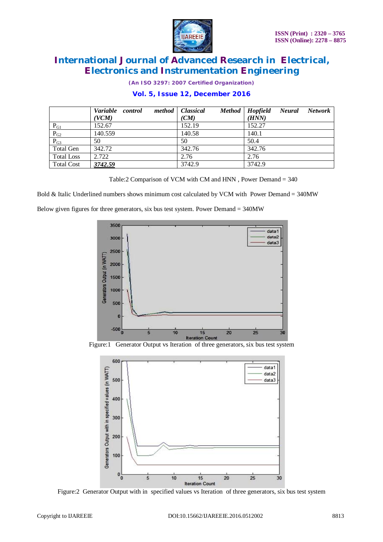

*(An ISO 3297: 2007 Certified Organization)*

## **Vol. 5, Issue 12, December 2016**

|                   | Variable control<br>(VCM) | method   Classical<br>(CM) | Method   Hopfield<br>Network<br>Neural<br>(HNN) |
|-------------------|---------------------------|----------------------------|-------------------------------------------------|
| $P_{G1}$          | 152.67                    | 152.19                     | 152.27                                          |
| $P_{G2}$          | 140.559                   | 140.58                     | 140.1                                           |
| $P_{G3}$          | 50                        | 50                         | 50.4                                            |
| <b>Total Gen</b>  | 342.72                    | 342.76                     | 342.76                                          |
| <b>Total Loss</b> | 2.722                     | 2.76                       | 2.76                                            |
| <b>Total Cost</b> | 3742.59                   | 3742.9                     | 3742.9                                          |

Table:2 Comparison of VCM with CM and HNN , Power Demand = 340

Bold & Italic Underlined numbers shows minimum cost calculated by VCM with Power Demand = 340MW

Below given figures for three generators, six bus test system. Power Demand = 340MW



Figure:1 Generator Output vs Iteration of three generators, six bus test system



Figure:2 Generator Output with in specified values vs Iteration of three generators, six bus test system